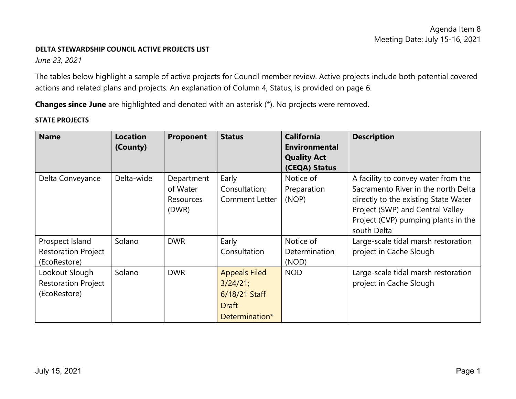#### **DELTA STEWARDSHIP COUNCIL ACTIVE PROJECTS LIST**

*June 23, 2021*

The tables below highlight a sample of active projects for Council member review. Active projects include both potential covered actions and related plans and projects. An explanation of Column 4, Status, is provided on page 6.

**Changes since June** are highlighted and denoted with an asterisk (\*). No projects were removed.

### **STATE PROJECTS**

| <b>Name</b>                | <b>Location</b><br>(County) | Proponent        | <b>Status</b>         | <b>California</b><br><b>Environmental</b><br><b>Quality Act</b> | <b>Description</b>                   |
|----------------------------|-----------------------------|------------------|-----------------------|-----------------------------------------------------------------|--------------------------------------|
|                            |                             |                  |                       | (CEQA) Status                                                   |                                      |
| Delta Conveyance           | Delta-wide                  | Department       | Early                 | Notice of                                                       | A facility to convey water from the  |
|                            |                             | of Water         | Consultation;         | Preparation                                                     | Sacramento River in the north Delta  |
|                            |                             | <b>Resources</b> | <b>Comment Letter</b> | (NOP)                                                           | directly to the existing State Water |
|                            |                             | (DWR)            |                       |                                                                 | Project (SWP) and Central Valley     |
|                            |                             |                  |                       |                                                                 | Project (CVP) pumping plants in the  |
|                            |                             |                  |                       |                                                                 | south Delta                          |
| Prospect Island            | Solano                      | <b>DWR</b>       | Early                 | Notice of                                                       | Large-scale tidal marsh restoration  |
| <b>Restoration Project</b> |                             |                  | Consultation          | <b>Determination</b>                                            | project in Cache Slough              |
| (EcoRestore)               |                             |                  |                       | (NOD)                                                           |                                      |
| Lookout Slough             | Solano                      | <b>DWR</b>       | <b>Appeals Filed</b>  | <b>NOD</b>                                                      | Large-scale tidal marsh restoration  |
| <b>Restoration Project</b> |                             |                  | $3/24/21$ ;           |                                                                 | project in Cache Slough              |
| (EcoRestore)               |                             |                  | 6/18/21 Staff         |                                                                 |                                      |
|                            |                             |                  | <b>Draft</b>          |                                                                 |                                      |
|                            |                             |                  | Determination*        |                                                                 |                                      |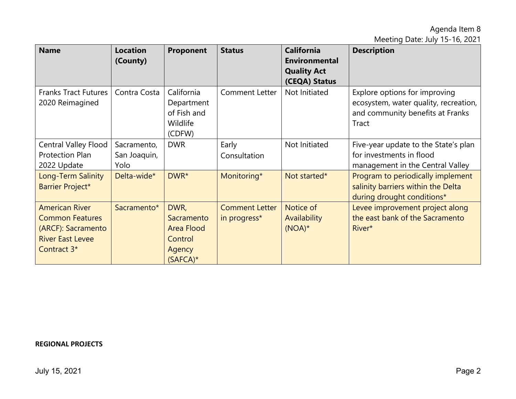Meeting Date: July 15-16, 2021

| <b>Name</b>                                                                                                                 | <b>Location</b><br>(County)         | Proponent                                                            | <b>Status</b>                         | <b>California</b><br><b>Environmental</b><br><b>Quality Act</b><br>(CEQA) Status | <b>Description</b>                                                                                                  |
|-----------------------------------------------------------------------------------------------------------------------------|-------------------------------------|----------------------------------------------------------------------|---------------------------------------|----------------------------------------------------------------------------------|---------------------------------------------------------------------------------------------------------------------|
| <b>Franks Tract Futures</b><br>2020 Reimagined                                                                              | Contra Costa                        | California<br>Department<br>of Fish and<br>Wildlife<br>(CDFW)        | <b>Comment Letter</b>                 | Not Initiated                                                                    | Explore options for improving<br>ecosystem, water quality, recreation,<br>and community benefits at Franks<br>Tract |
| <b>Central Valley Flood</b><br>Protection Plan<br>2022 Update                                                               | Sacramento,<br>San Joaquin,<br>Yolo | <b>DWR</b>                                                           | Early<br>Consultation                 | Not Initiated                                                                    | Five-year update to the State's plan<br>for investments in flood<br>management in the Central Valley                |
| Long-Term Salinity<br>Barrier Project*                                                                                      | Delta-wide*                         | DWR*                                                                 | Monitoring*                           | Not started*                                                                     | Program to periodically implement<br>salinity barriers within the Delta<br>during drought conditions*               |
| <b>American River</b><br><b>Common Features</b><br>(ARCF): Sacramento<br><b>River East Levee</b><br>Contract 3 <sup>*</sup> | Sacramento*                         | DWR,<br>Sacramento<br>Area Flood<br>Control<br>Agency<br>$(SAFCA)^*$ | <b>Comment Letter</b><br>in progress* | Notice of<br>Availability<br>$(NOA)*$                                            | Levee improvement project along<br>the east bank of the Sacramento<br>River*                                        |

### **REGIONAL PROJECTS**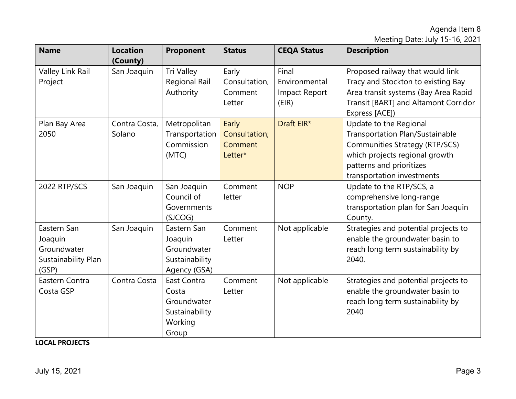Meeting Date: July 15-16, 2021

| <b>Name</b>                                                           | <b>Location</b><br>(County) | Proponent                                                                 | <b>Status</b>                                | <b>CEQA Status</b>                               | <b>Description</b>                                                                                                                                                                             |
|-----------------------------------------------------------------------|-----------------------------|---------------------------------------------------------------------------|----------------------------------------------|--------------------------------------------------|------------------------------------------------------------------------------------------------------------------------------------------------------------------------------------------------|
| Valley Link Rail<br>Project                                           | San Joaquin                 | Tri Valley<br><b>Regional Rail</b><br>Authority                           | Early<br>Consultation,<br>Comment<br>Letter  | Final<br>Environmental<br>Impact Report<br>(EIR) | Proposed railway that would link<br>Tracy and Stockton to existing Bay<br>Area transit systems (Bay Area Rapid<br>Transit [BART] and Altamont Corridor<br>Express [ACE])                       |
| Plan Bay Area<br>2050                                                 | Contra Costa,<br>Solano     | Metropolitan<br>Transportation<br>Commission<br>(MTC)                     | Early<br>Consultation;<br>Comment<br>Letter* | Draft EIR*                                       | Update to the Regional<br><b>Transportation Plan/Sustainable</b><br>Communities Strategy (RTP/SCS)<br>which projects regional growth<br>patterns and prioritizes<br>transportation investments |
| 2022 RTP/SCS                                                          | San Joaquin                 | San Joaquin<br>Council of<br>Governments<br>(SJCOG)                       | Comment<br>letter                            | <b>NOP</b>                                       | Update to the RTP/SCS, a<br>comprehensive long-range<br>transportation plan for San Joaquin<br>County.                                                                                         |
| Eastern San<br>Joaquin<br>Groundwater<br>Sustainability Plan<br>(GSP) | San Joaquin                 | Eastern San<br>Joaquin<br>Groundwater<br>Sustainability<br>Agency (GSA)   | Comment<br>Letter                            | Not applicable                                   | Strategies and potential projects to<br>enable the groundwater basin to<br>reach long term sustainability by<br>2040.                                                                          |
| Eastern Contra<br>Costa GSP                                           | Contra Costa                | East Contra<br>Costa<br>Groundwater<br>Sustainability<br>Working<br>Group | Comment<br>Letter                            | Not applicable                                   | Strategies and potential projects to<br>enable the groundwater basin to<br>reach long term sustainability by<br>2040                                                                           |

**LOCAL PROJECTS**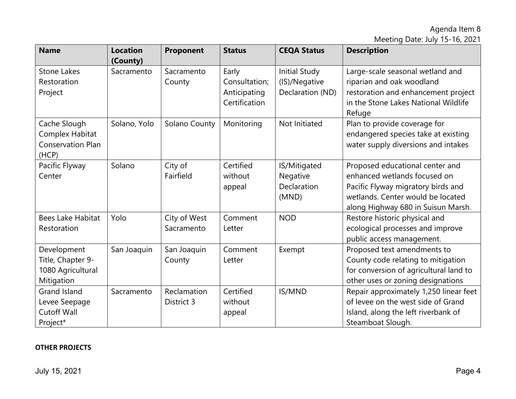Meeting Date: July 15-16, 2021

| <b>Name</b>                                                         | <b>Location</b><br>(County) | Proponent                  | <b>Status</b>                                           | <b>CEQA Status</b>                                 | <b>Description</b>                                                                                                                                                               |
|---------------------------------------------------------------------|-----------------------------|----------------------------|---------------------------------------------------------|----------------------------------------------------|----------------------------------------------------------------------------------------------------------------------------------------------------------------------------------|
| <b>Stone Lakes</b><br>Restoration<br>Project                        | Sacramento                  | Sacramento<br>County       | Early<br>Consultation;<br>Anticipating<br>Certification | Initial Study<br>(IS)/Negative<br>Declaration (ND) | Large-scale seasonal wetland and<br>riparian and oak woodland<br>restoration and enhancement project<br>in the Stone Lakes National Wildlife<br>Refuge                           |
| Cache Slough<br>Complex Habitat<br>Conservation Plan<br>(HCP)       | Solano, Yolo                | Solano County              | Monitoring                                              | Not Initiated                                      | Plan to provide coverage for<br>endangered species take at existing<br>water supply diversions and intakes                                                                       |
| Pacific Flyway<br>Center                                            | Solano                      | City of<br>Fairfield       | Certified<br>without<br>appeal                          | IS/Mitigated<br>Negative<br>Declaration<br>(MND)   | Proposed educational center and<br>enhanced wetlands focused on<br>Pacific Flyway migratory birds and<br>wetlands. Center would be located<br>along Highway 680 in Suisun Marsh. |
| <b>Bees Lake Habitat</b><br>Restoration                             | Yolo                        | City of West<br>Sacramento | Comment<br>Letter                                       | <b>NOD</b>                                         | Restore historic physical and<br>ecological processes and improve<br>public access management.                                                                                   |
| Development<br>Title, Chapter 9-<br>1080 Agricultural<br>Mitigation | San Joaquin                 | San Joaquin<br>County      | Comment<br>Letter                                       | Exempt                                             | Proposed text amendments to<br>County code relating to mitigation<br>for conversion of agricultural land to<br>other uses or zoning designations                                 |
| Grand Island<br>Levee Seepage<br><b>Cutoff Wall</b><br>Project*     | Sacramento                  | Reclamation<br>District 3  | Certified<br>without<br>appeal                          | IS/MND                                             | Repair approximately 1,250 linear feet<br>of levee on the west side of Grand<br>Island, along the left riverbank of<br>Steamboat Slough.                                         |

## **OTHER PROJECTS**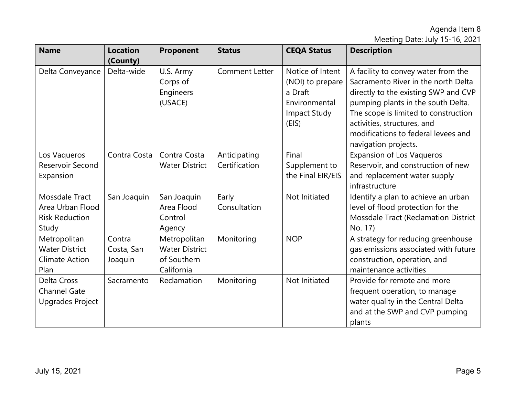Meeting Date: July 15-16, 2021

| <b>Name</b>                                                            | <b>Location</b><br>(County)     | Proponent                                                          | <b>Status</b>                 | <b>CEQA Status</b>                                                                               | <b>Description</b>                                                                                                                                                                                                                                                                             |
|------------------------------------------------------------------------|---------------------------------|--------------------------------------------------------------------|-------------------------------|--------------------------------------------------------------------------------------------------|------------------------------------------------------------------------------------------------------------------------------------------------------------------------------------------------------------------------------------------------------------------------------------------------|
| Delta Conveyance                                                       | Delta-wide                      | U.S. Army<br>Corps of<br>Engineers<br>(USACE)                      | <b>Comment Letter</b>         | Notice of Intent<br>(NOI) to prepare<br>a Draft<br>Environmental<br><b>Impact Study</b><br>(EIS) | A facility to convey water from the<br>Sacramento River in the north Delta<br>directly to the existing SWP and CVP<br>pumping plants in the south Delta.<br>The scope is limited to construction<br>activities, structures, and<br>modifications to federal levees and<br>navigation projects. |
| Los Vaqueros<br>Reservoir Second<br>Expansion                          | Contra Costa                    | Contra Costa<br><b>Water District</b>                              | Anticipating<br>Certification | Final<br>Supplement to<br>the Final EIR/EIS                                                      | <b>Expansion of Los Vaqueros</b><br>Reservoir, and construction of new<br>and replacement water supply<br>infrastructure                                                                                                                                                                       |
| Mossdale Tract<br>Area Urban Flood<br><b>Risk Reduction</b><br>Study   | San Joaquin                     | San Joaquin<br>Area Flood<br>Control<br>Agency                     | Early<br>Consultation         | Not Initiated                                                                                    | Identify a plan to achieve an urban<br>level of flood protection for the<br>Mossdale Tract (Reclamation District<br>No. 17)                                                                                                                                                                    |
| Metropolitan<br><b>Water District</b><br><b>Climate Action</b><br>Plan | Contra<br>Costa, San<br>Joaquin | Metropolitan<br><b>Water District</b><br>of Southern<br>California | Monitoring                    | <b>NOP</b>                                                                                       | A strategy for reducing greenhouse<br>gas emissions associated with future<br>construction, operation, and<br>maintenance activities                                                                                                                                                           |
| Delta Cross<br><b>Channel Gate</b><br>Upgrades Project                 | Sacramento                      | Reclamation                                                        | Monitoring                    | Not Initiated                                                                                    | Provide for remote and more<br>frequent operation, to manage<br>water quality in the Central Delta<br>and at the SWP and CVP pumping<br>plants                                                                                                                                                 |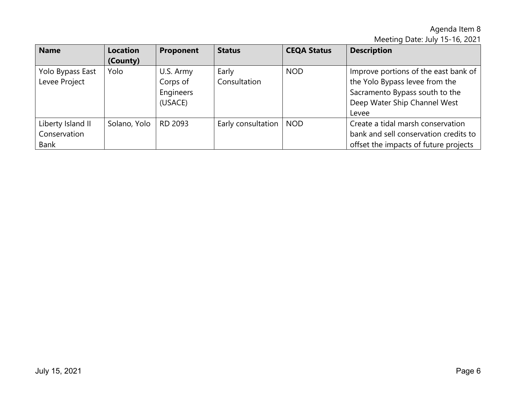Meeting Date: July 15-16, 2021

| <b>Name</b>                                      | <b>Location</b><br>(County) | Proponent                                     | <b>Status</b>         | <b>CEQA Status</b> | <b>Description</b>                                                                                                                                |
|--------------------------------------------------|-----------------------------|-----------------------------------------------|-----------------------|--------------------|---------------------------------------------------------------------------------------------------------------------------------------------------|
| Yolo Bypass East<br>Levee Project                | Yolo                        | U.S. Army<br>Corps of<br>Engineers<br>(USACE) | Early<br>Consultation | <b>NOD</b>         | Improve portions of the east bank of<br>the Yolo Bypass levee from the<br>Sacramento Bypass south to the<br>Deep Water Ship Channel West<br>Levee |
| Liberty Island II<br>Conservation<br><b>Bank</b> | Solano, Yolo                | RD 2093                                       | Early consultation    | <b>NOD</b>         | Create a tidal marsh conservation<br>bank and sell conservation credits to<br>offset the impacts of future projects                               |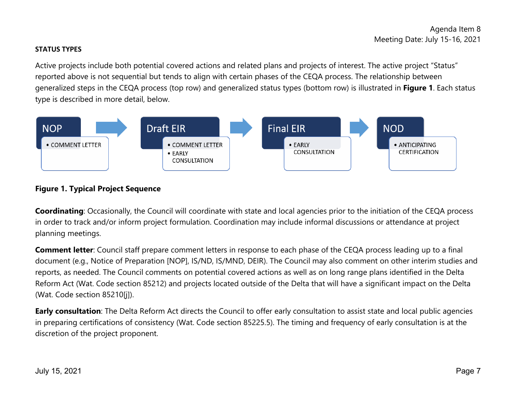## **STATUS TYPES**

Active projects include both potential covered actions and related plans and projects of interest. The active project "Status" reported above is not sequential but tends to align with certain phases of the CEQA process. The relationship between generalized steps in the CEQA process (top row) and generalized status types (bottom row) is illustrated in **Figure 1**. Each status type is described in more detail, below.



# **Figure 1. Typical Project Sequence**

**Coordinating**: Occasionally, the Council will coordinate with state and local agencies prior to the initiation of the CEQA process in order to track and/or inform project formulation. Coordination may include informal discussions or attendance at project planning meetings.

**Comment letter**: Council staff prepare comment letters in response to each phase of the CEQA process leading up to a final document (e.g., Notice of Preparation [NOP], IS/ND, IS/MND, DEIR). The Council may also comment on other interim studies and reports, as needed. The Council comments on potential covered actions as well as on long range plans identified in the Delta Reform Act (Wat. Code section 85212) and projects located outside of the Delta that will have a significant impact on the Delta (Wat. Code section 85210[j]).

**Early consultation**: The Delta Reform Act directs the Council to offer early consultation to assist state and local public agencies in preparing certifications of consistency (Wat. Code section 85225.5). The timing and frequency of early consultation is at the discretion of the project proponent.